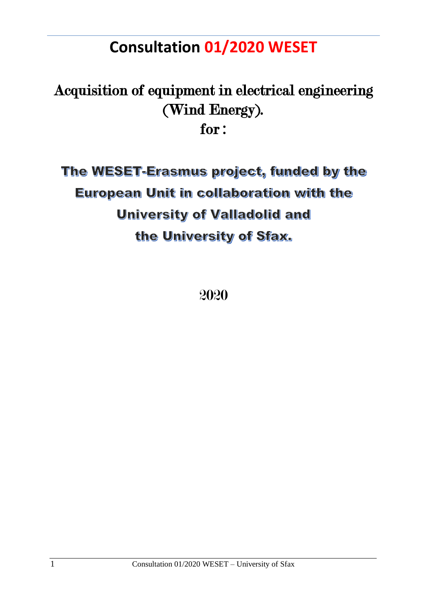# **Consultation 01/2020 WESET**

# Acquisition of equipment in electrical engineering (Wind Energy). for :

The WESET-Erasmus project, funded by the European Unit in collaboration with the **University of Valladolid and** the University of Sfax.

2020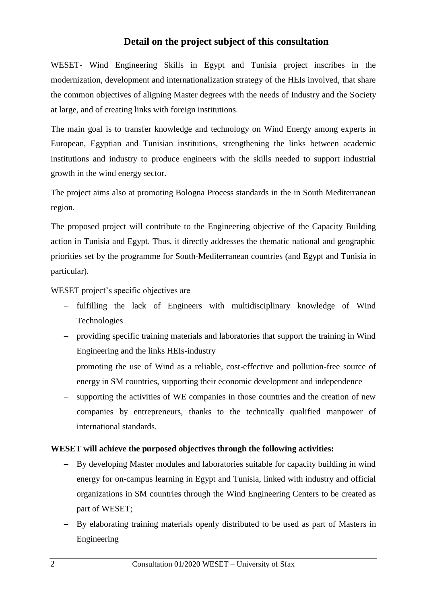## **Detail on the project subject of this consultation**

WESET- Wind Engineering Skills in Egypt and Tunisia project inscribes in the modernization, development and internationalization strategy of the HEIs involved, that share the common objectives of aligning Master degrees with the needs of Industry and the Society at large, and of creating links with foreign institutions.

The main goal is to transfer knowledge and technology on Wind Energy among experts in European, Egyptian and Tunisian institutions, strengthening the links between academic institutions and industry to produce engineers with the skills needed to support industrial growth in the wind energy sector.

The project aims also at promoting Bologna Process standards in the in South Mediterranean region.

The proposed project will contribute to the Engineering objective of the Capacity Building action in Tunisia and Egypt. Thus, it directly addresses the thematic national and geographic priorities set by the programme for South-Mediterranean countries (and Egypt and Tunisia in particular).

WESET project's specific objectives are

- fulfilling the lack of Engineers with multidisciplinary knowledge of Wind Technologies
- providing specific training materials and laboratories that support the training in Wind Engineering and the links HEIs-industry
- promoting the use of Wind as a reliable, cost-effective and pollution-free source of energy in SM countries, supporting their economic development and independence
- supporting the activities of WE companies in those countries and the creation of new companies by entrepreneurs, thanks to the technically qualified manpower of international standards.

## **WESET will achieve the purposed objectives through the following activities:**

- By developing Master modules and laboratories suitable for capacity building in wind energy for on-campus learning in Egypt and Tunisia, linked with industry and official organizations in SM countries through the Wind Engineering Centers to be created as part of WESET;
- By elaborating training materials openly distributed to be used as part of Masters in Engineering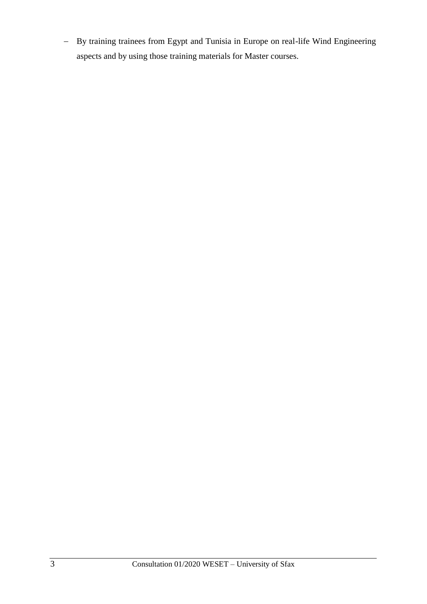- By training trainees from Egypt and Tunisia in Europe on real-life Wind Engineering aspects and by using those training materials for Master courses.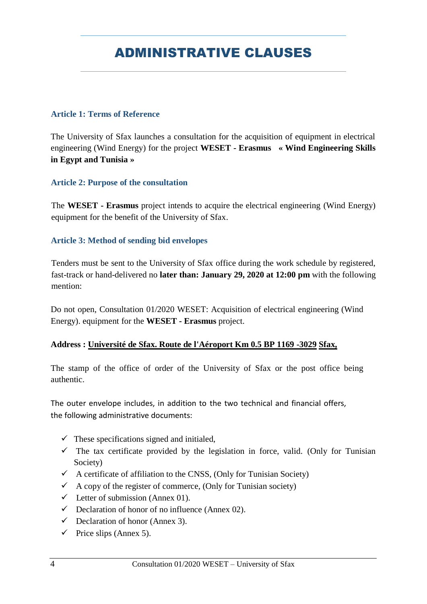## ADMINISTRATIVE CLAUSES

## **Article 1: Terms of Reference**

The University of Sfax launches a consultation for the acquisition of equipment in electrical engineering (Wind Energy) for the project **WESET - Erasmus « Wind Engineering Skills in Egypt and Tunisia »** 

## **Article 2: Purpose of the consultation**

The **WESET - Erasmus** project intends to acquire the electrical engineering (Wind Energy) equipment for the benefit of the University of Sfax.

## **Article 3: Method of sending bid envelopes**

Tenders must be sent to the University of Sfax office during the work schedule by registered, fast-track or hand-delivered no **later than: January 29, 2020 at 12:00 pm** with the following mention:

Do not open, Consultation 01/2020 WESET: Acquisition of electrical engineering (Wind Energy). equipment for the **WESET - Erasmus** project.

## **Address : Université de Sfax. Route de l'Aéroport Km 0.5 BP 1169 -3029 Sfax,**

The stamp of the office of order of the University of Sfax or the post office being authentic.

The outer envelope includes, in addition to the two technical and financial offers, the following administrative documents:

- $\checkmark$  These specifications signed and initialed,
- $\checkmark$  The tax certificate provided by the legislation in force, valid. (Only for Tunisian Society)
- $\checkmark$  A certificate of affiliation to the CNSS, (Only for Tunisian Society)
- $\checkmark$  A copy of the register of commerce, (Only for Tunisian society)
- $\checkmark$  Letter of submission (Annex 01).
- $\checkmark$  Declaration of honor of no influence (Annex 02).
- $\checkmark$  Declaration of honor (Annex 3).
- $\checkmark$  Price slips (Annex 5).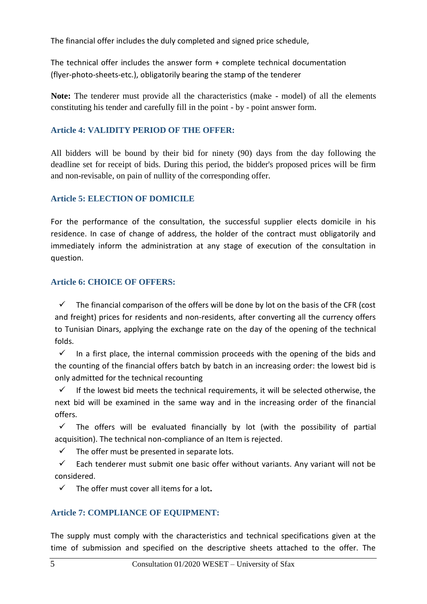The financial offer includes the duly completed and signed price schedule,

The technical offer includes the answer form + complete technical documentation (flyer-photo-sheets-etc.), obligatorily bearing the stamp of the tenderer

**Note:** The tenderer must provide all the characteristics (make - model) of all the elements constituting his tender and carefully fill in the point - by - point answer form.

## **Article 4: VALIDITY PERIOD OF THE OFFER:**

All bidders will be bound by their bid for ninety (90) days from the day following the deadline set for receipt of bids. During this period, the bidder's proposed prices will be firm and non-revisable, on pain of nullity of the corresponding offer.

## **Article 5: ELECTION OF DOMICILE**

For the performance of the consultation, the successful supplier elects domicile in his residence. In case of change of address, the holder of the contract must obligatorily and immediately inform the administration at any stage of execution of the consultation in question.

## **Article 6: CHOICE OF OFFERS:**

 The financial comparison of the offers will be done by lot on the basis of the CFR (cost and freight) prices for residents and non-residents, after converting all the currency offers to Tunisian Dinars, applying the exchange rate on the day of the opening of the technical folds.

 $\checkmark$  In a first place, the internal commission proceeds with the opening of the bids and the counting of the financial offers batch by batch in an increasing order: the lowest bid is only admitted for the technical recounting

 $\checkmark$  If the lowest bid meets the technical requirements, it will be selected otherwise, the next bid will be examined in the same way and in the increasing order of the financial offers.

 $\checkmark$  The offers will be evaluated financially by lot (with the possibility of partial acquisition). The technical non-compliance of an Item is rejected.

 $\checkmark$  The offer must be presented in separate lots.

 $\checkmark$  Each tenderer must submit one basic offer without variants. Any variant will not be considered.

The offer must cover all items for a lot**.**

## **Article 7: COMPLIANCE OF EQUIPMENT:**

The supply must comply with the characteristics and technical specifications given at the time of submission and specified on the descriptive sheets attached to the offer. The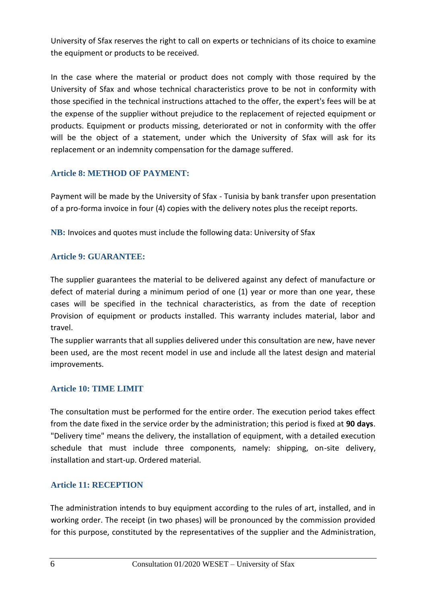University of Sfax reserves the right to call on experts or technicians of its choice to examine the equipment or products to be received.

In the case where the material or product does not comply with those required by the University of Sfax and whose technical characteristics prove to be not in conformity with those specified in the technical instructions attached to the offer, the expert's fees will be at the expense of the supplier without prejudice to the replacement of rejected equipment or products. Equipment or products missing, deteriorated or not in conformity with the offer will be the object of a statement, under which the University of Sfax will ask for its replacement or an indemnity compensation for the damage suffered.

## **Article 8: METHOD OF PAYMENT:**

Payment will be made by the University of Sfax - Tunisia by bank transfer upon presentation of a pro-forma invoice in four (4) copies with the delivery notes plus the receipt reports.

**NB:** Invoices and quotes must include the following data: University of Sfax

## **Article 9: GUARANTEE:**

The supplier guarantees the material to be delivered against any defect of manufacture or defect of material during a minimum period of one (1) year or more than one year, these cases will be specified in the technical characteristics, as from the date of reception Provision of equipment or products installed. This warranty includes material, labor and travel.

The supplier warrants that all supplies delivered under this consultation are new, have never been used, are the most recent model in use and include all the latest design and material improvements.

## **Article 10: TIME LIMIT**

The consultation must be performed for the entire order. The execution period takes effect from the date fixed in the service order by the administration; this period is fixed at **90 days**. "Delivery time" means the delivery, the installation of equipment, with a detailed execution schedule that must include three components, namely: shipping, on-site delivery, installation and start-up. Ordered material.

## **Article 11: RECEPTION**

The administration intends to buy equipment according to the rules of art, installed, and in working order. The receipt (in two phases) will be pronounced by the commission provided for this purpose, constituted by the representatives of the supplier and the Administration,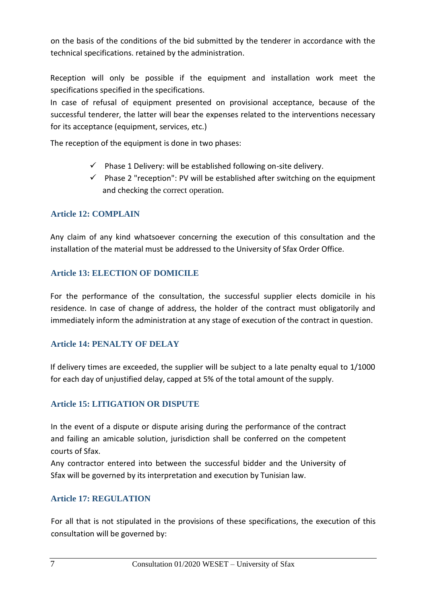on the basis of the conditions of the bid submitted by the tenderer in accordance with the technical specifications. retained by the administration.

Reception will only be possible if the equipment and installation work meet the specifications specified in the specifications.

In case of refusal of equipment presented on provisional acceptance, because of the successful tenderer, the latter will bear the expenses related to the interventions necessary for its acceptance (equipment, services, etc.)

The reception of the equipment is done in two phases:

- $\checkmark$  Phase 1 Delivery: will be established following on-site delivery.
- $\checkmark$  Phase 2 "reception": PV will be established after switching on the equipment and checking the correct operation.

## **Article 12: COMPLAIN**

Any claim of any kind whatsoever concerning the execution of this consultation and the installation of the material must be addressed to the University of Sfax Order Office.

## **Article 13: ELECTION OF DOMICILE**

For the performance of the consultation, the successful supplier elects domicile in his residence. In case of change of address, the holder of the contract must obligatorily and immediately inform the administration at any stage of execution of the contract in question.

#### **Article 14: PENALTY OF DELAY**

If delivery times are exceeded, the supplier will be subject to a late penalty equal to 1/1000 for each day of unjustified delay, capped at 5% of the total amount of the supply.

#### **Article 15: LITIGATION OR DISPUTE**

In the event of a dispute or dispute arising during the performance of the contract and failing an amicable solution, jurisdiction shall be conferred on the competent courts of Sfax.

Any contractor entered into between the successful bidder and the University of Sfax will be governed by its interpretation and execution by Tunisian law.

## **Article 17: REGULATION**

For all that is not stipulated in the provisions of these specifications, the execution of this consultation will be governed by: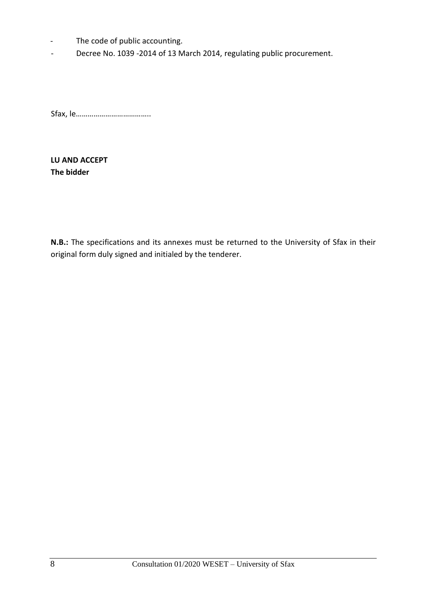- The code of public accounting.
- Decree No. 1039 -2014 of 13 March 2014, regulating public procurement.

Sfax, le………………………………..

**LU AND ACCEPT The bidder**

**N.B.:** The specifications and its annexes must be returned to the University of Sfax in their original form duly signed and initialed by the tenderer.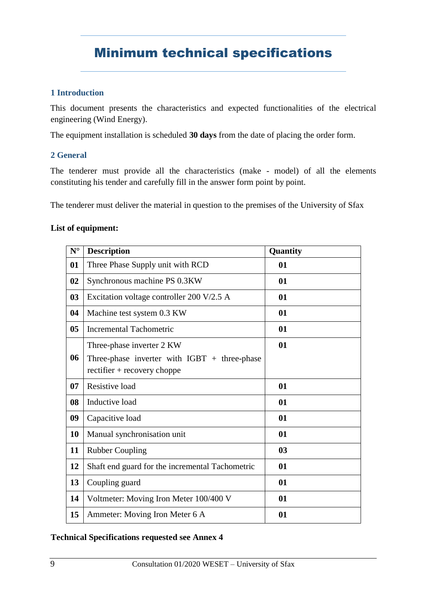## Minimum technical specifications

## **1 Introduction**

This document presents the characteristics and expected functionalities of the electrical engineering (Wind Energy).

The equipment installation is scheduled **30 days** from the date of placing the order form.

## **2 General**

The tenderer must provide all the characteristics (make - model) of all the elements constituting his tender and carefully fill in the answer form point by point.

The tenderer must deliver the material in question to the premises of the University of Sfax

## **List of equipment:**

| ${\bf N}^{\circ}$ | <b>Description</b>                              | Quantity |
|-------------------|-------------------------------------------------|----------|
| 01                | Three Phase Supply unit with RCD                | 01       |
| 02                | Synchronous machine PS 0.3KW                    | 01       |
| 03                | Excitation voltage controller 200 V/2.5 A       | 01       |
| 04                | Machine test system 0.3 KW                      | 01       |
| 0 <sub>5</sub>    | <b>Incremental Tachometric</b>                  | 01       |
|                   | Three-phase inverter 2 KW                       | 01       |
| 06                | Three-phase inverter with $IGBT + three-phase$  |          |
|                   | $rectifier + recovery \,choppe$                 |          |
| 07                | Resistive load                                  | 01       |
| 08                | Inductive load                                  | 01       |
| 09                | Capacitive load                                 | 01       |
| 10                | Manual synchronisation unit                     | 01       |
| 11                | <b>Rubber Coupling</b>                          | 03       |
| 12                | Shaft end guard for the incremental Tachometric | 01       |
| 13                | Coupling guard                                  | 01       |
| 14                | Voltmeter: Moving Iron Meter 100/400 V          | 01       |
| 15                | Ammeter: Moving Iron Meter 6 A                  | 01       |

#### **Technical Specifications requested see Annex 4**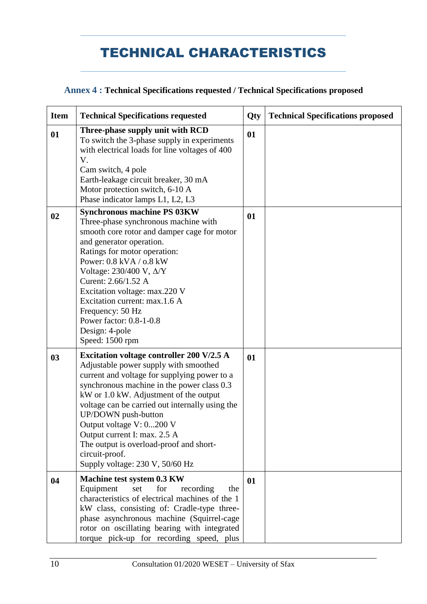## TECHNICAL CHARACTERISTICS

## **Annex 4 : Technical Specifications requested / Technical Specifications proposed**

| <b>Item</b> | <b>Technical Specifications requested</b>                                                                                                                                                                                                                                                                                                                                                                                                                               | Qty | <b>Technical Specifications proposed</b> |
|-------------|-------------------------------------------------------------------------------------------------------------------------------------------------------------------------------------------------------------------------------------------------------------------------------------------------------------------------------------------------------------------------------------------------------------------------------------------------------------------------|-----|------------------------------------------|
| 01          | Three-phase supply unit with RCD<br>To switch the 3-phase supply in experiments<br>with electrical loads for line voltages of 400<br>V.<br>Cam switch, 4 pole<br>Earth-leakage circuit breaker, 30 mA<br>Motor protection switch, 6-10 A<br>Phase indicator lamps L1, L2, L3                                                                                                                                                                                            | 01  |                                          |
| 02          | <b>Synchronous machine PS 03KW</b><br>Three-phase synchronous machine with<br>smooth core rotor and damper cage for motor<br>and generator operation.<br>Ratings for motor operation:<br>Power: 0.8 kVA / 0.8 kW<br>Voltage: 230/400 V, Δ/Y<br>Curent: 2.66/1.52 A<br>Excitation voltage: max.220 V<br>Excitation current: max.1.6 A<br>Frequency: 50 Hz<br>Power factor: 0.8-1-0.8<br>Design: 4-pole<br>Speed: 1500 rpm                                                | 01  |                                          |
| 03          | <b>Excitation voltage controller 200 V/2.5 A</b><br>Adjustable power supply with smoothed<br>current and voltage for supplying power to a<br>synchronous machine in the power class 0.3<br>kW or 1.0 kW. Adjustment of the output<br>voltage can be carried out internally using the<br>UP/DOWN push-button<br>Output voltage V: 0200 V<br>Output current I: max. 2.5 A<br>The output is overload-proof and short-<br>circuit-proof.<br>Supply voltage: 230 V, 50/60 Hz | 01  |                                          |
| 04          | Machine test system 0.3 KW<br>Equipment<br>for<br>set<br>the<br>recording<br>characteristics of electrical machines of the 1<br>kW class, consisting of: Cradle-type three-<br>phase asynchronous machine (Squirrel-cage<br>rotor on oscillating bearing with integrated<br>torque pick-up for recording speed, plus                                                                                                                                                    | 01  |                                          |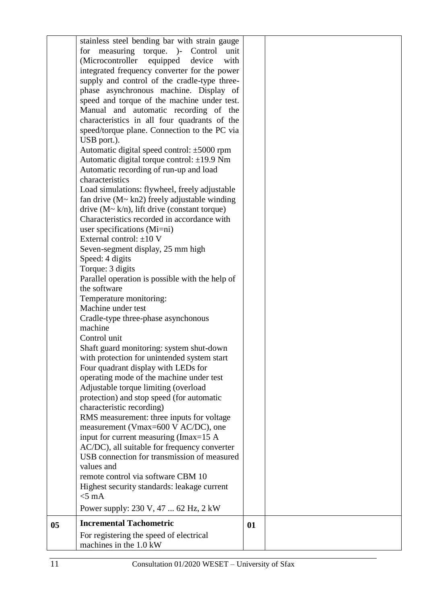|    | stainless steel bending bar with strain gauge                   |    |  |
|----|-----------------------------------------------------------------|----|--|
|    | for measuring torque. )- Control unit                           |    |  |
|    | (Microcontroller<br>equipped<br>device<br>with                  |    |  |
|    | integrated frequency converter for the power                    |    |  |
|    | supply and control of the cradle-type three-                    |    |  |
|    | phase asynchronous machine. Display of                          |    |  |
|    | speed and torque of the machine under test.                     |    |  |
|    | Manual and automatic recording of the                           |    |  |
|    | characteristics in all four quadrants of the                    |    |  |
|    | speed/torque plane. Connection to the PC via                    |    |  |
|    | USB port.).                                                     |    |  |
|    | Automatic digital speed control: ±5000 rpm                      |    |  |
|    | Automatic digital torque control: $\pm$ 19.9 Nm                 |    |  |
|    | Automatic recording of run-up and load                          |    |  |
|    | characteristics                                                 |    |  |
|    | Load simulations: flywheel, freely adjustable                   |    |  |
|    | fan drive (M~ kn2) freely adjustable winding                    |    |  |
|    | drive $(M \sim k/n)$ , lift drive (constant torque)             |    |  |
|    | Characteristics recorded in accordance with                     |    |  |
|    | user specifications (Mi=ni)                                     |    |  |
|    | External control: $\pm 10$ V                                    |    |  |
|    | Seven-segment display, 25 mm high                               |    |  |
|    | Speed: 4 digits                                                 |    |  |
|    | Torque: 3 digits                                                |    |  |
|    | Parallel operation is possible with the help of<br>the software |    |  |
|    | Temperature monitoring:                                         |    |  |
|    | Machine under test                                              |    |  |
|    | Cradle-type three-phase asynchonous                             |    |  |
|    | machine                                                         |    |  |
|    | Control unit                                                    |    |  |
|    | Shaft guard monitoring: system shut-down                        |    |  |
|    | with protection for unintended system start                     |    |  |
|    | Four quadrant display with LEDs for                             |    |  |
|    | operating mode of the machine under test                        |    |  |
|    | Adjustable torque limiting (overload                            |    |  |
|    | protection) and stop speed (for automatic                       |    |  |
|    | characteristic recording)                                       |    |  |
|    | RMS measurement: three inputs for voltage                       |    |  |
|    | measurement (Vmax=600 V AC/DC), one                             |    |  |
|    | input for current measuring (Imax=15 A                          |    |  |
|    | AC/DC), all suitable for frequency converter                    |    |  |
|    | USB connection for transmission of measured                     |    |  |
|    | values and                                                      |    |  |
|    | remote control via software CBM 10                              |    |  |
|    | Highest security standards: leakage current                     |    |  |
|    | $<$ 5 mA                                                        |    |  |
|    | Power supply: 230 V, 47  62 Hz, 2 kW                            |    |  |
| 05 | <b>Incremental Tachometric</b>                                  | 01 |  |
|    | For registering the speed of electrical                         |    |  |
|    | machines in the 1.0 kW                                          |    |  |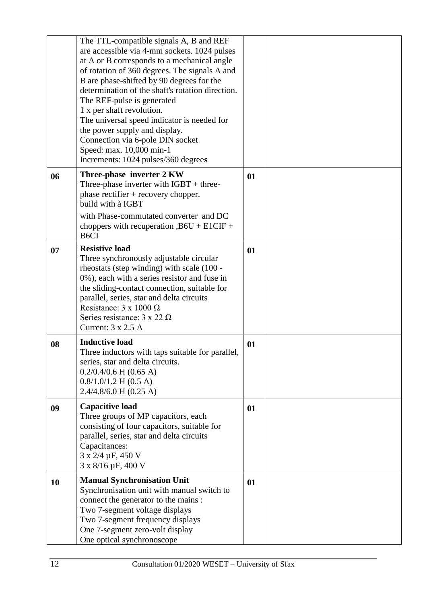|    | The TTL-compatible signals A, B and REF<br>are accessible via 4-mm sockets. 1024 pulses<br>at A or B corresponds to a mechanical angle<br>of rotation of 360 degrees. The signals A and<br>B are phase-shifted by 90 degrees for the<br>determination of the shaft's rotation direction.<br>The REF-pulse is generated<br>1 x per shaft revolution.<br>The universal speed indicator is needed for<br>the power supply and display.<br>Connection via 6-pole DIN socket<br>Speed: max. 10,000 min-1<br>Increments: 1024 pulses/360 degrees |    |  |
|----|--------------------------------------------------------------------------------------------------------------------------------------------------------------------------------------------------------------------------------------------------------------------------------------------------------------------------------------------------------------------------------------------------------------------------------------------------------------------------------------------------------------------------------------------|----|--|
| 06 | Three-phase inverter 2 KW<br>Three-phase inverter with $IGBT + three$ -<br>phase rectifier $+$ recovery chopper.<br>build with à IGBT<br>with Phase-commutated converter and DC<br>choppers with recuperation $,B6U + E1CIF +$<br>B <sub>6</sub> CI                                                                                                                                                                                                                                                                                        | 01 |  |
| 07 | <b>Resistive load</b><br>Three synchronously adjustable circular<br>rheostats (step winding) with scale (100 -<br>0%), each with a series resistor and fuse in<br>the sliding-contact connection, suitable for<br>parallel, series, star and delta circuits<br>Resistance: $3 \times 1000 \Omega$<br>Series resistance: $3 \times 22 \Omega$<br>Current: 3 x 2.5 A                                                                                                                                                                         | 01 |  |
| 08 | <b>Inductive load</b><br>Three inductors with taps suitable for parallel,<br>series, star and delta circuits.<br>$0.2/0.4/0.6$ H (0.65 A)<br>$0.8/1.0/1.2$ H (0.5 A)<br>$2.4/4.8/6.0$ H (0.25 A)                                                                                                                                                                                                                                                                                                                                           | 01 |  |
| 09 | <b>Capacitive load</b><br>Three groups of MP capacitors, each<br>consisting of four capacitors, suitable for<br>parallel, series, star and delta circuits<br>Capacitances:<br>3 x 2/4 µF, 450 V<br>3 x 8/16 µF, 400 V                                                                                                                                                                                                                                                                                                                      | 01 |  |
| 10 | <b>Manual Synchronisation Unit</b><br>Synchronisation unit with manual switch to<br>connect the generator to the mains :<br>Two 7-segment voltage displays<br>Two 7-segment frequency displays<br>One 7-segment zero-volt display<br>One optical synchronoscope                                                                                                                                                                                                                                                                            | 01 |  |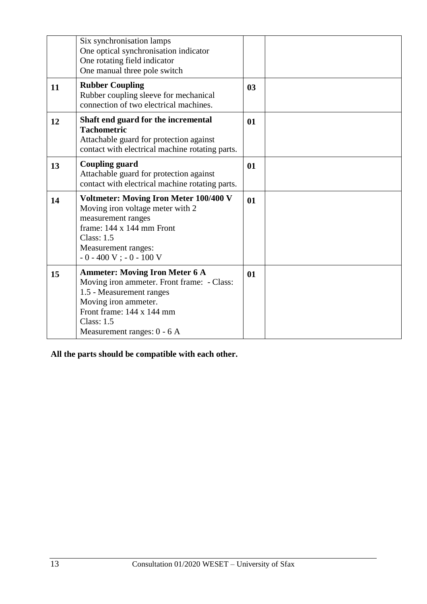|    | Six synchronisation lamps<br>One optical synchronisation indicator<br>One rotating field indicator<br>One manual three pole switch                                                                                         |                |  |
|----|----------------------------------------------------------------------------------------------------------------------------------------------------------------------------------------------------------------------------|----------------|--|
| 11 | <b>Rubber Coupling</b><br>Rubber coupling sleeve for mechanical<br>connection of two electrical machines.                                                                                                                  | 0 <sub>3</sub> |  |
| 12 | Shaft end guard for the incremental<br><b>Tachometric</b><br>Attachable guard for protection against<br>contact with electrical machine rotating parts.                                                                    | 01             |  |
| 13 | <b>Coupling guard</b><br>Attachable guard for protection against<br>contact with electrical machine rotating parts.                                                                                                        | 01             |  |
| 14 | <b>Voltmeter: Moving Iron Meter 100/400 V</b><br>Moving iron voltage meter with 2<br>measurement ranges<br>frame: 144 x 144 mm Front<br><b>Class: 1.5</b><br>Measurement ranges:<br>$-0 - 400$ V ; $-0 - 100$ V            | 01             |  |
| 15 | <b>Ammeter: Moving Iron Meter 6 A</b><br>Moving iron ammeter. Front frame: - Class:<br>1.5 - Measurement ranges<br>Moving iron ammeter.<br>Front frame: 144 x 144 mm<br><b>Class: 1.5</b><br>Measurement ranges: $0 - 6$ A | 01             |  |

**All the parts should be compatible with each other.**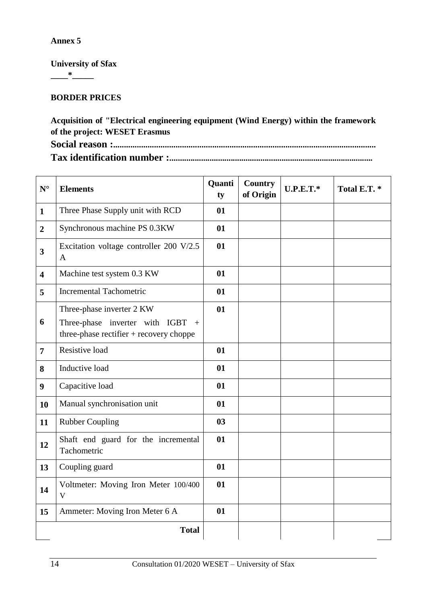**University of Sfax \_\_\_\_\*\_\_\_\_\_**

## **BORDER PRICES**

**Acquisition of "Electrical engineering equipment (Wind Energy) within the framework of the project: WESET Erasmus Social reason :..........................................................................................................................**

**Tax identification number :................................................................................................**

| ${\bf N}^{\circ}$       | <b>Elements</b>                                                                                               | Quanti<br>ty | <b>Country</b><br>of Origin | $U.P.E.T.*$ | Total E.T.* |
|-------------------------|---------------------------------------------------------------------------------------------------------------|--------------|-----------------------------|-------------|-------------|
| $\mathbf{1}$            | Three Phase Supply unit with RCD                                                                              | 01           |                             |             |             |
| $\overline{2}$          | Synchronous machine PS 0.3KW                                                                                  | 01           |                             |             |             |
| 3                       | Excitation voltage controller 200 V/2.5<br>$\mathbf{A}$                                                       | 01           |                             |             |             |
| $\overline{\mathbf{4}}$ | Machine test system 0.3 KW                                                                                    | 01           |                             |             |             |
| 5                       | <b>Incremental Tachometric</b>                                                                                | 01           |                             |             |             |
| 6                       | Three-phase inverter 2 KW<br>Three-phase inverter with IGBT<br>$+$<br>three-phase rectifier + recovery choppe | 01           |                             |             |             |
| $\overline{7}$          | Resistive load                                                                                                | 01           |                             |             |             |
| 8                       | Inductive load                                                                                                | 01           |                             |             |             |
| 9                       | Capacitive load                                                                                               | 01           |                             |             |             |
| 10                      | Manual synchronisation unit                                                                                   | 01           |                             |             |             |
| 11                      | <b>Rubber Coupling</b>                                                                                        | 03           |                             |             |             |
| 12                      | Shaft end guard for the incremental<br>Tachometric                                                            | 01           |                             |             |             |
| 13                      | Coupling guard                                                                                                | 01           |                             |             |             |
| 14                      | Voltmeter: Moving Iron Meter 100/400<br>V                                                                     | 01           |                             |             |             |
| 15                      | Ammeter: Moving Iron Meter 6 A                                                                                | 01           |                             |             |             |
|                         | <b>Total</b>                                                                                                  |              |                             |             |             |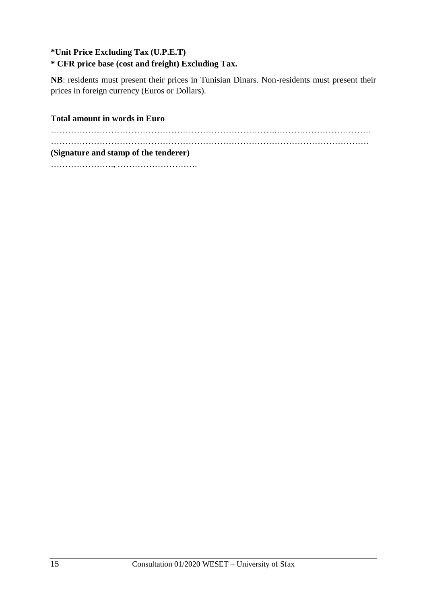## **\*Unit Price Excluding Tax (U.P.E.T)**

## **\* CFR price base (cost and freight) Excluding Tax.**

**NB**: residents must present their prices in Tunisian Dinars. Non-residents must present their prices in foreign currency (Euros or Dollars).

**Total amount in words in Euro** 

…………………………………………………………………….…………………………… ………………………………………………………………………………………………… **(Signature and stamp of the tenderer)** …………………., ……………………….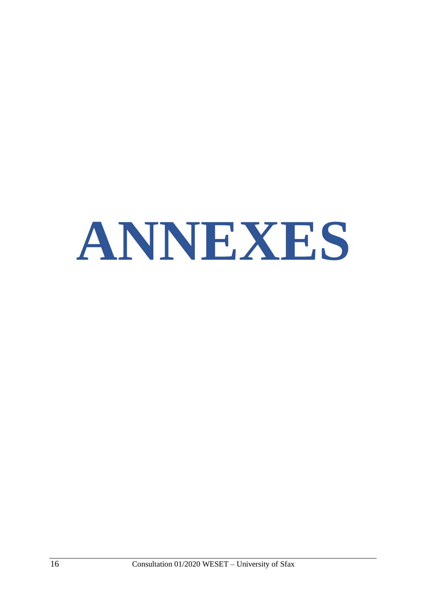# **ANNEXES**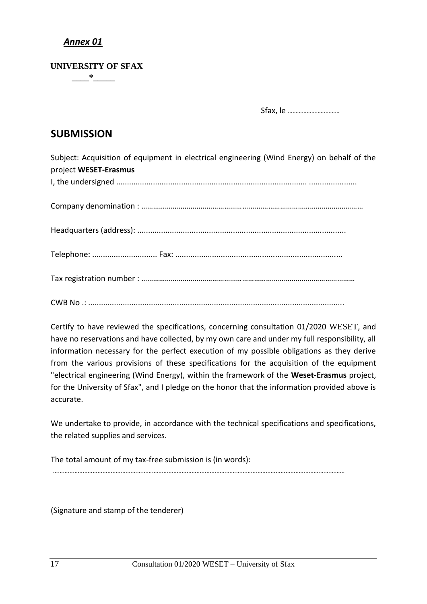#### **UNIVERSITY OF SFAX \_\_\_\_\*\_\_\_\_\_**

Sfax, le ……………………………

## **SUBMISSION**

Subject: Acquisition of equipment in electrical engineering (Wind Energy) on behalf of the project **WESET-Erasmus** I, the undersigned ........................................................................................ ...................... Company denomination : ……………………………………………….………………………………………………… Headquarters (address): ................................................................................................ Telephone: .............................. Fax: ............................................................................. Tax registration number : ………………………………………………………………………………………………

CWB No .: ......................................................................................................................

Certify to have reviewed the specifications, concerning consultation 01/2020 WESET, and have no reservations and have collected, by my own care and under my full responsibility, all information necessary for the perfect execution of my possible obligations as they derive from the various provisions of these specifications for the acquisition of the equipment "electrical engineering (Wind Energy), within the framework of the **Weset-Erasmus** project, for the University of Sfax", and I pledge on the honor that the information provided above is accurate.

We undertake to provide, in accordance with the technical specifications and specifications, the related supplies and services.

The total amount of my tax-free submission is (in words): ……………………………………………………………………………………………………………………………………………………………

(Signature and stamp of the tenderer)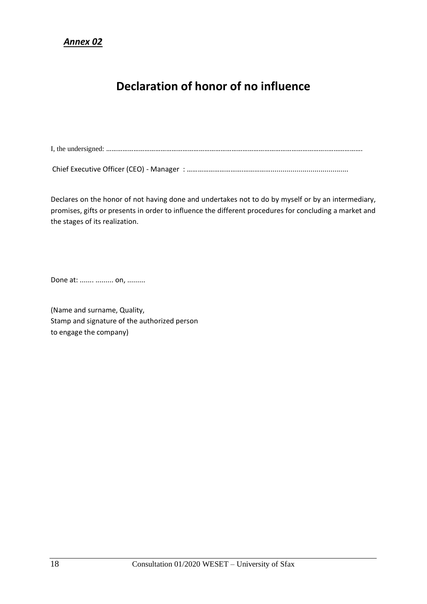## **Declaration of honor of no influence**

I, the undersigned: …………………………………………………………………………………………………………..……………….

Chief Executive Officer (CEO) - Manager : ………………………….…………….......................................

Declares on the honor of not having done and undertakes not to do by myself or by an intermediary, promises, gifts or presents in order to influence the different procedures for concluding a market and the stages of its realization.

Done at: ....... ......... on, .........

(Name and surname, Quality, Stamp and signature of the authorized person to engage the company)